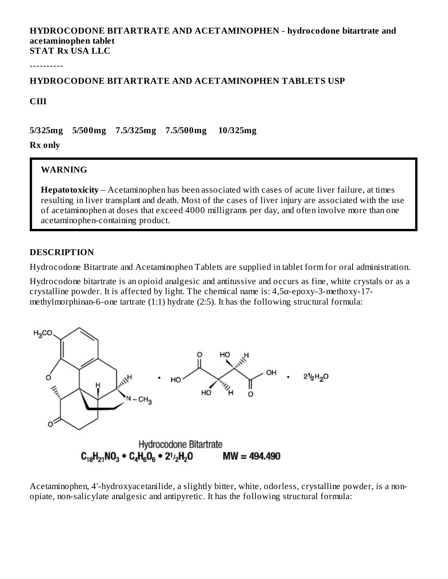#### **HYDROCODONE BITARTRATE AND ACETAMINOPHEN - hydrocodone bitartrate and acetaminophen tablet STAT Rx USA LLC**

----------

#### **HYDROCODONE BITARTRATE AND ACETAMINOPHEN TABLETS USP**

**CIII**

**5/325mg 5/500mg 7.5/325mg 7.5/500mg 10/325mg**

**Rx only**

#### **WARNING**

**Hepatotoxicity** – Acetaminophen has been associated with cases of acute liver failure, at times resulting in liver transplant and death. Most of the cases of liver injury are associated with the use of acetaminophen at doses that exceed 4000 milligrams per day, and often involve more than one acetaminophen-containing product.

#### **DESCRIPTION**

Hydrocodone Bitartrate and Acetaminophen Tablets are supplied in tablet form for oral administration.

Hydrocodone bitartrate is an opioid analgesic and antitussive and occurs as fine, white crystals or as a crystalline powder. It is affected by light. The chemical name is: 4,5α-epoxy-3-methoxy-17 methylmorphinan-6-one tartrate (1:1) hydrate (2:5). It has the following structural formula:



Acetaminophen, 4'-hydroxyacetanilide, a slightly bitter, white, odorless, crystalline powder, is a nonopiate, non-salicylate analgesic and antipyretic. It has the following structural formula: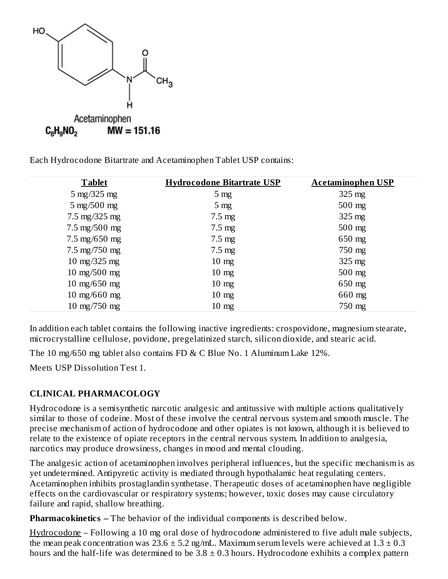

Each Hydrocodone Bitartrate and Acetaminophen Tablet USP contains:

| <b>Tablet</b>                         | <b>Hydrocodone Bitartrate USP</b> | <u>Acetaminophen USP</u> |
|---------------------------------------|-----------------------------------|--------------------------|
| $5 \text{ mg}$ /325 mg                | $5 \text{ mg}$                    | $325 \text{ mg}$         |
| $5 \text{ mg}/500 \text{ mg}$         | 5 <sub>mg</sub>                   | 500 mg                   |
| $7.5 \text{ mg} / 325 \text{ mg}$     | $7.5 \text{ mg}$                  | $325 \text{ mg}$         |
| $7.5 \,\mathrm{mg}/500 \,\mathrm{mg}$ | $7.5 \text{ mg}$                  | $500$ mg                 |
| $7.5 \,\mathrm{mg}/650 \,\mathrm{mg}$ | $7.5 \text{ mg}$                  | 650 mg                   |
| $7.5 \text{ mg}/750 \text{ mg}$       | $7.5 \text{ mg}$                  | 750 mg                   |
| 10 mg/325 mg                          | $10 \text{ mg}$                   | $325 \text{ mg}$         |
| 10 mg/500 mg                          | $10 \text{ mg}$                   | $500$ mg                 |
| 10 mg/650 mg                          | $10 \text{ mg}$                   | 650 mg                   |
| 10 mg/660 mg                          | $10 \text{ mg}$                   | 660 mg                   |
| 10 mg/750 mg                          | $10 \text{ mg}$                   | 750 mg                   |

In addition each tablet contains the following inactive ingredients: crospovidone, magnesium stearate, microcrystalline cellulose, povidone, pregelatinized starch, silicon dioxide, and stearic acid.

The 10 mg/650 mg tablet also contains FD & C Blue No. 1 Aluminum Lake 12%.

Meets USP Dissolution Test 1.

# **CLINICAL PHARMACOLOGY**

Hydrocodone is a semisynthetic narcotic analgesic and antitussive with multiple actions qualitatively similar to those of codeine. Most of these involve the central nervous system and smooth muscle. The precise mechanism of action of hydrocodone and other opiates is not known, although it is believed to relate to the existence of opiate receptors in the central nervous system. In addition to analgesia, narcotics may produce drowsiness, changes in mood and mental clouding.

The analgesic action of acetaminophen involves peripheral influences, but the specific mechanism is as yet undetermined. Antipyretic activity is mediated through hypothalamic heat regulating centers. Acetaminophen inhibits prostaglandin synthetase. Therapeutic doses of acetaminophen have negligible effects on the cardiovascular or respiratory systems; however, toxic doses may cause circulatory failure and rapid, shallow breathing.

**Pharmacokinetics –** The behavior of the individual components is described below.

Hydrocodone – Following a 10 mg oral dose of hydrocodone administered to five adult male subjects, the mean peak concentration was  $23.6 \pm 5.2$  ng/mL. Maximum serum levels were achieved at  $1.3 \pm 0.3$ hours and the half-life was determined to be  $3.8 \pm 0.3$  hours. Hydrocodone exhibits a complex pattern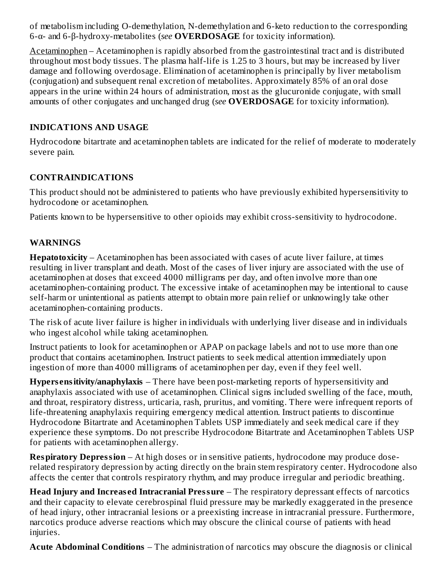of metabolism including O-demethylation, N-demethylation and 6-keto reduction to the corresponding 6-α- and 6-β-hydroxy-metabolites (*see* **OVERDOSAGE** for toxicity information).

Acetaminophen – Acetaminophen is rapidly absorbed from the gastrointestinal tract and is distributed throughout most body tissues. The plasma half-life is 1.25 to 3 hours, but may be increased by liver damage and following overdosage. Elimination of acetaminophen is principally by liver metabolism (conjugation) and subsequent renal excretion of metabolites. Approximately 85% of an oral dose appears in the urine within 24 hours of administration, most as the glucuronide conjugate, with small amounts of other conjugates and unchanged drug (*see* **OVERDOSAGE** for toxicity information).

# **INDICATIONS AND USAGE**

Hydrocodone bitartrate and acetaminophen tablets are indicated for the relief of moderate to moderately severe pain.

# **CONTRAINDICATIONS**

This product should not be administered to patients who have previously exhibited hypersensitivity to hydrocodone or acetaminophen.

Patients known to be hypersensitive to other opioids may exhibit cross-sensitivity to hydrocodone.

#### **WARNINGS**

**Hepatotoxicity** – Acetaminophen has been associated with cases of acute liver failure, at times resulting in liver transplant and death. Most of the cases of liver injury are associated with the use of acetaminophen at doses that exceed 4000 milligrams per day, and often involve more than one acetaminophen-containing product. The excessive intake of acetaminophen may be intentional to cause self-harm or unintentional as patients attempt to obtain more pain relief or unknowingly take other acetaminophen-containing products.

The risk of acute liver failure is higher in individuals with underlying liver disease and in individuals who ingest alcohol while taking acetaminophen.

Instruct patients to look for acetaminophen or APAP on package labels and not to use more than one product that contains acetaminophen. Instruct patients to seek medical attention immediately upon ingestion of more than 4000 milligrams of acetaminophen per day, even if they feel well.

**Hypers ensitivity/anaphylaxis** – There have been post-marketing reports of hypersensitivity and anaphylaxis associated with use of acetaminophen. Clinical signs included swelling of the face, mouth, and throat, respiratory distress, urticaria, rash, pruritus, and vomiting. There were infrequent reports of life-threatening anaphylaxis requiring emergency medical attention. Instruct patients to discontinue Hydrocodone Bitartrate and Acetaminophen Tablets USP immediately and seek medical care if they experience these symptoms. Do not prescribe Hydrocodone Bitartrate and Acetaminophen Tablets USP for patients with acetaminophen allergy.

**Respiratory Depression** – At high doses or in sensitive patients, hydrocodone may produce doserelated respiratory depression by acting directly on the brain stem respiratory center. Hydrocodone also affects the center that controls respiratory rhythm, and may produce irregular and periodic breathing.

**Head Injury and Increas ed Intracranial Pressure** – The respiratory depressant effects of narcotics and their capacity to elevate cerebrospinal fluid pressure may be markedly exaggerated in the presence of head injury, other intracranial lesions or a preexisting increase in intracranial pressure. Furthermore, narcotics produce adverse reactions which may obscure the clinical course of patients with head iniuries.

**Acute Abdominal Conditions** – The administration of narcotics may obscure the diagnosis or clinical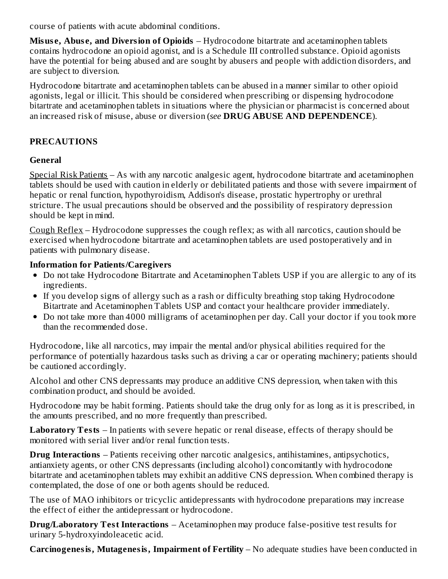course of patients with acute abdominal conditions.

**Misus e, Abus e, and Diversion of Opioids** – Hydrocodone bitartrate and acetaminophen tablets contains hydrocodone an opioid agonist, and is a Schedule III controlled substance. Opioid agonists have the potential for being abused and are sought by abusers and people with addiction disorders, and are subject to diversion.

Hydrocodone bitartrate and acetaminophen tablets can be abused in a manner similar to other opioid agonists, legal or illicit. This should be considered when prescribing or dispensing hydrocodone bitartrate and acetaminophen tablets in situations where the physician or pharmacist is concerned about an increased risk of misuse, abuse or diversion (*see* **DRUG ABUSE AND DEPENDENCE**).

#### **PRECAUTIONS**

#### **General**

Special Risk Patients – As with any narcotic analgesic agent, hydrocodone bitartrate and acetaminophen tablets should be used with caution in elderly or debilitated patients and those with severe impairment of hepatic or renal function, hypothyroidism, Addison's disease, prostatic hypertrophy or urethral stricture. The usual precautions should be observed and the possibility of respiratory depression should be kept in mind.

Cough Reflex – Hydrocodone suppresses the cough reflex; as with all narcotics, caution should be exercised when hydrocodone bitartrate and acetaminophen tablets are used postoperatively and in patients with pulmonary disease.

#### **Information for Patients/Caregivers**

- Do not take Hydrocodone Bitartrate and Acetaminophen Tablets USP if you are allergic to any of its ingredients.
- If you develop signs of allergy such as a rash or difficulty breathing stop taking Hydrocodone Bitartrate and Acetaminophen Tablets USP and contact your healthcare provider immediately.
- Do not take more than 4000 milligrams of acetaminophen per day. Call your doctor if you took more than the recommended dose.

Hydrocodone, like all narcotics, may impair the mental and/or physical abilities required for the performance of potentially hazardous tasks such as driving a car or operating machinery; patients should be cautioned accordingly.

Alcohol and other CNS depressants may produce an additive CNS depression, when taken with this combination product, and should be avoided.

Hydrocodone may be habit forming. Patients should take the drug only for as long as it is prescribed, in the amounts prescribed, and no more frequently than prescribed.

**Laboratory Tests** – In patients with severe hepatic or renal disease, effects of therapy should be monitored with serial liver and/or renal function tests.

**Drug Interactions** – Patients receiving other narcotic analgesics, antihistamines, antipsychotics, antianxiety agents, or other CNS depressants (including alcohol) concomitantly with hydrocodone bitartrate and acetaminophen tablets may exhibit an additive CNS depression. When combined therapy is contemplated, the dose of one or both agents should be reduced.

The use of MAO inhibitors or tricyclic antidepressants with hydrocodone preparations may increase the effect of either the antidepressant or hydrocodone.

**Drug/Laboratory Test Interactions** – Acetaminophen may produce false-positive test results for urinary 5-hydroxyindoleacetic acid.

**Carcinogenesis, Mutagenesis, Impairment of Fertility** – No adequate studies have been conducted in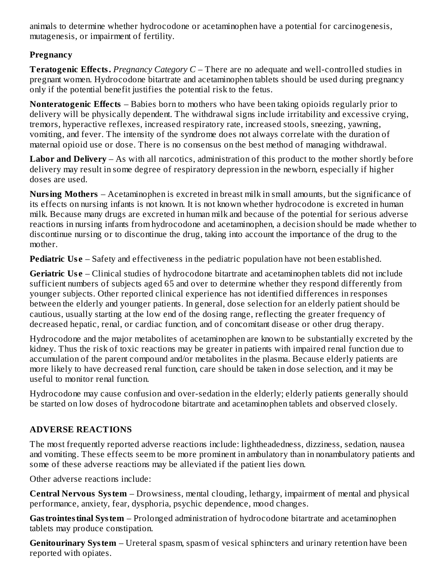animals to determine whether hydrocodone or acetaminophen have a potential for carcinogenesis, mutagenesis, or impairment of fertility.

# **Pregnancy**

**Teratogenic Effects.** *Pregnancy Category C* – There are no adequate and well-controlled studies in pregnant women. Hydrocodone bitartrate and acetaminophen tablets should be used during pregnancy only if the potential benefit justifies the potential risk to the fetus.

**Nonteratogenic Effects** – Babies born to mothers who have been taking opioids regularly prior to delivery will be physically dependent. The withdrawal signs include irritability and excessive crying, tremors, hyperactive reflexes, increased respiratory rate, increased stools, sneezing, yawning, vomiting, and fever. The intensity of the syndrome does not always correlate with the duration of maternal opioid use or dose. There is no consensus on the best method of managing withdrawal.

**Labor and Delivery** – As with all narcotics, administration of this product to the mother shortly before delivery may result in some degree of respiratory depression in the newborn, especially if higher doses are used.

**Nursing Mothers** – Acetaminophen is excreted in breast milk in small amounts, but the significance of its effects on nursing infants is not known. It is not known whether hydrocodone is excreted in human milk. Because many drugs are excreted in human milk and because of the potential for serious adverse reactions in nursing infants from hydrocodone and acetaminophen, a decision should be made whether to discontinue nursing or to discontinue the drug, taking into account the importance of the drug to the mother.

**Pediatric** Use – Safety and effectiveness in the pediatric population have not been established.

**Geriatric Us e** – Clinical studies of hydrocodone bitartrate and acetaminophen tablets did not include sufficient numbers of subjects aged 65 and over to determine whether they respond differently from younger subjects. Other reported clinical experience has not identified differences in responses between the elderly and younger patients. In general, dose selection for an elderly patient should be cautious, usually starting at the low end of the dosing range, reflecting the greater frequency of decreased hepatic, renal, or cardiac function, and of concomitant disease or other drug therapy.

Hydrocodone and the major metabolites of acetaminophen are known to be substantially excreted by the kidney. Thus the risk of toxic reactions may be greater in patients with impaired renal function due to accumulation of the parent compound and/or metabolites in the plasma. Because elderly patients are more likely to have decreased renal function, care should be taken in dose selection, and it may be useful to monitor renal function.

Hydrocodone may cause confusion and over-sedation in the elderly; elderly patients generally should be started on low doses of hydrocodone bitartrate and acetaminophen tablets and observed closely.

# **ADVERSE REACTIONS**

The most frequently reported adverse reactions include: lightheadedness, dizziness, sedation, nausea and vomiting. These effects seem to be more prominent in ambulatory than in nonambulatory patients and some of these adverse reactions may be alleviated if the patient lies down.

Other adverse reactions include:

**Central Nervous System** – Drowsiness, mental clouding, lethargy, impairment of mental and physical performance, anxiety, fear, dysphoria, psychic dependence, mood changes.

**Gastrointestinal System** – Prolonged administration of hydrocodone bitartrate and acetaminophen tablets may produce constipation.

**Genitourinary System** – Ureteral spasm, spasm of vesical sphincters and urinary retention have been reported with opiates.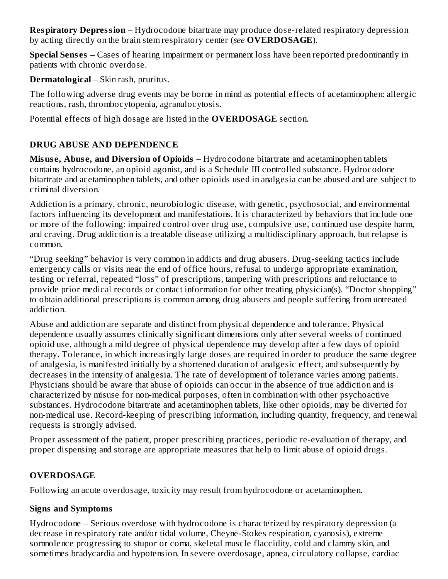**Respiratory Depression** – Hydrocodone bitartrate may produce dose-related respiratory depression by acting directly on the brain stem respiratory center (*see* **OVERDOSAGE**).

**Special Sens es –** Cases of hearing impairment or permanent loss have been reported predominantly in patients with chronic overdose.

**Dermatological** – Skin rash, pruritus.

The following adverse drug events may be borne in mind as potential effects of acetaminophen: allergic reactions, rash, thrombocytopenia, agranulocytosis.

Potential effects of high dosage are listed in the **OVERDOSAGE** section.

# **DRUG ABUSE AND DEPENDENCE**

**Misus e, Abus e, and Diversion of Opioids** – Hydrocodone bitartrate and acetaminophen tablets contains hydrocodone, an opioid agonist, and is a Schedule III controlled substance. Hydrocodone bitartrate and acetaminophen tablets, and other opioids used in analgesia can be abused and are subject to criminal diversion.

Addiction is a primary, chronic, neurobiologic disease, with genetic, psychosocial, and environmental factors influencing its development and manifestations. It is characterized by behaviors that include one or more of the following: impaired control over drug use, compulsive use, continued use despite harm, and craving. Drug addiction is a treatable disease utilizing a multidisciplinary approach, but relapse is common.

"Drug seeking" behavior is very common in addicts and drug abusers. Drug-seeking tactics include emergency calls or visits near the end of office hours, refusal to undergo appropriate examination, testing or referral, repeated "loss" of prescriptions, tampering with prescriptions and reluctance to provide prior medical records or contact information for other treating physician(s). "Doctor shopping" to obtain additional prescriptions is common among drug abusers and people suffering from untreated addiction.

Abuse and addiction are separate and distinct from physical dependence and tolerance. Physical dependence usually assumes clinically significant dimensions only after several weeks of continued opioid use, although a mild degree of physical dependence may develop after a few days of opioid therapy. Tolerance, in which increasingly large doses are required in order to produce the same degree of analgesia, is manifested initially by a shortened duration of analgesic effect, and subsequently by decreases in the intensity of analgesia. The rate of development of tolerance varies among patients. Physicians should be aware that abuse of opioids can occur in the absence of true addiction and is characterized by misuse for non-medical purposes, often in combination with other psychoactive substances. Hydrocodone bitartrate and acetaminophen tablets, like other opioids, may be diverted for non-medical use. Record-keeping of prescribing information, including quantity, frequency, and renewal requests is strongly advised.

Proper assessment of the patient, proper prescribing practices, periodic re-evaluation of therapy, and proper dispensing and storage are appropriate measures that help to limit abuse of opioid drugs.

# **OVERDOSAGE**

Following an acute overdosage, toxicity may result from hydrocodone or acetaminophen.

# **Signs and Symptoms**

Hydrocodone – Serious overdose with hydrocodone is characterized by respiratory depression (a decrease in respiratory rate and/or tidal volume, Cheyne-Stokes respiration, cyanosis), extreme somnolence progressing to stupor or coma, skeletal muscle flaccidity, cold and clammy skin, and sometimes bradycardia and hypotension. In severe overdosage, apnea, circulatory collapse, cardiac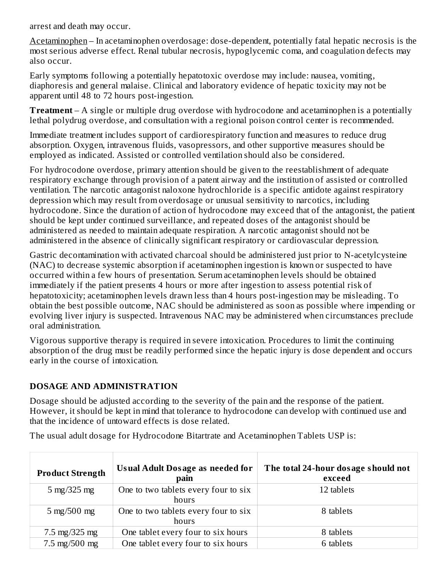arrest and death may occur.

Acetaminophen – In acetaminophen overdosage: dose-dependent, potentially fatal hepatic necrosis is the most serious adverse effect. Renal tubular necrosis, hypoglycemic coma, and coagulation defects may also occur.

Early symptoms following a potentially hepatotoxic overdose may include: nausea, vomiting, diaphoresis and general malaise. Clinical and laboratory evidence of hepatic toxicity may not be apparent until 48 to 72 hours post-ingestion.

**Treatment** – A single or multiple drug overdose with hydrocodone and acetaminophen is a potentially lethal polydrug overdose, and consultation with a regional poison control center is recommended.

Immediate treatment includes support of cardiorespiratory function and measures to reduce drug absorption. Oxygen, intravenous fluids, vasopressors, and other supportive measures should be employed as indicated. Assisted or controlled ventilation should also be considered.

For hydrocodone overdose, primary attention should be given to the reestablishment of adequate respiratory exchange through provision of a patent airway and the institution of assisted or controlled ventilation. The narcotic antagonist naloxone hydrochloride is a specific antidote against respiratory depression which may result from overdosage or unusual sensitivity to narcotics, including hydrocodone. Since the duration of action of hydrocodone may exceed that of the antagonist, the patient should be kept under continued surveillance, and repeated doses of the antagonist should be administered as needed to maintain adequate respiration. A narcotic antagonist should not be administered in the absence of clinically significant respiratory or cardiovascular depression.

Gastric decontamination with activated charcoal should be administered just prior to N-acetylcysteine (NAC) to decrease systemic absorption if acetaminophen ingestion is known or suspected to have occurred within a few hours of presentation. Serum acetaminophen levels should be obtained immediately if the patient presents 4 hours or more after ingestion to assess potential risk of hepatotoxicity; acetaminophen levels drawn less than 4 hours post-ingestion may be misleading. To obtain the best possible outcome, NAC should be administered as soon as possible where impending or evolving liver injury is suspected. Intravenous NAC may be administered when circumstances preclude oral administration.

Vigorous supportive therapy is required in severe intoxication. Procedures to limit the continuing absorption of the drug must be readily performed since the hepatic injury is dose dependent and occurs early in the course of intoxication.

# **DOSAGE AND ADMINISTRATION**

Dosage should be adjusted according to the severity of the pain and the response of the patient. However, it should be kept in mind that tolerance to hydrocodone can develop with continued use and that the incidence of untoward effects is dose related.

| <b>Product Strength</b>               | <b>Usual Adult Dosage as needed for</b><br>pain | The total 24-hour dosage should not<br>exceed |
|---------------------------------------|-------------------------------------------------|-----------------------------------------------|
| $5 \text{ mg} / 325 \text{ mg}$       | One to two tablets every four to six<br>hours   | 12 tablets                                    |
| $5 \text{ mg}/500 \text{ mg}$         | One to two tablets every four to six<br>hours   | 8 tablets                                     |
| $7.5 \,\mathrm{mg}/325 \,\mathrm{mg}$ | One tablet every four to six hours              | 8 tablets                                     |
| 7.5 mg/500 mg                         | One tablet every four to six hours              | 6 tablets                                     |

The usual adult dosage for Hydrocodone Bitartrate and Acetaminophen Tablets USP is: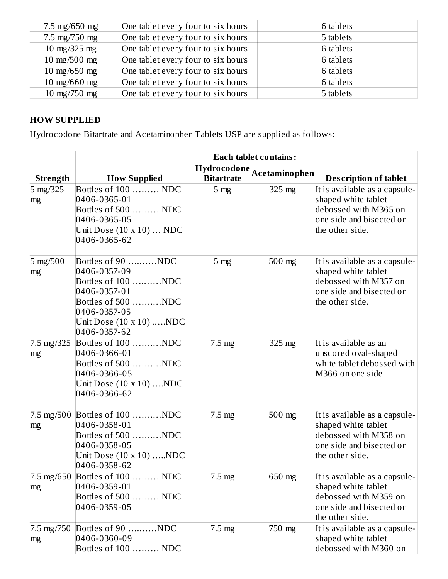| $7.5 \,\mathrm{mg}/650 \,\mathrm{mg}$ | One tablet every four to six hours | 6 tablets |
|---------------------------------------|------------------------------------|-----------|
| 7.5 mg/750 mg                         | One tablet every four to six hours | 5 tablets |
| 10 mg/325 mg                          | One tablet every four to six hours | 6 tablets |
| 10 mg/500 mg                          | One tablet every four to six hours | 6 tablets |
| 10 mg/650 mg                          | One tablet every four to six hours | 6 tablets |
| 10 mg/660 mg                          | One tablet every four to six hours | 6 tablets |
| 10 mg/750 mg                          | One tablet every four to six hours | 5 tablets |

# **HOW SUPPLIED**

Hydrocodone Bitartrate and Acetaminophen Tablets USP are supplied as follows:

|                          |                                                                                                                                                          | <b>Each tablet contains:</b> |                                                                                               |                                                                                                                              |
|--------------------------|----------------------------------------------------------------------------------------------------------------------------------------------------------|------------------------------|-----------------------------------------------------------------------------------------------|------------------------------------------------------------------------------------------------------------------------------|
| Strength                 | <b>How Supplied</b>                                                                                                                                      | <b>Bitartrate</b>            | $\overline{\mathbf{Hydrocolone}}_{\mathbf{A}\mathbf{c}\mathbf{\epsilon}\mathbf{t}}$ aminophen | <b>Description of tablet</b>                                                                                                 |
| $5 \text{ mg}/325$<br>mg | Bottles of 100  NDC<br>0406-0365-01<br>Bottles of 500  NDC<br>0406-0365-05<br>Unit Dose (10 x 10)  NDC<br>0406-0365-62                                   | 5 <sub>mg</sub>              | $325 \text{ mg}$                                                                              | It is available as a capsule-<br>shaped white tablet<br>debossed with M365 on<br>one side and bisected on<br>the other side. |
| 5 mg/500<br>mg           | Bottles of 90 NDC<br>0406-0357-09<br>Bottles of 100 NDC<br>0406-0357-01<br>Bottles of 500 NDC<br>0406-0357-05<br>Unit Dose (10 x 10) NDC<br>0406-0357-62 | 5 <sub>mg</sub>              | 500 mg                                                                                        | It is available as a capsule-<br>shaped white tablet<br>debossed with M357 on<br>one side and bisected on<br>the other side. |
| mg                       | 7.5 mg/325 Bottles of 100 NDC<br>0406-0366-01<br>Bottles of 500 NDC<br>0406-0366-05<br>Unit Dose (10 x 10) NDC<br>0406-0366-62                           | 7.5 mg                       | 325 mg                                                                                        | It is available as an<br>unscored oval-shaped<br>white tablet debossed with<br>M366 on one side.                             |
| mg                       | 7.5 mg/500 Bottles of 100 NDC<br>0406-0358-01<br>Bottles of 500 NDC<br>0406-0358-05<br>Unit Dose (10 x 10) NDC<br>0406-0358-62                           | $7.5 \text{ mg}$             | 500 mg                                                                                        | It is available as a capsule-<br>shaped white tablet<br>debossed with M358 on<br>one side and bisected on<br>the other side. |
| mg                       | 7.5 mg/650 Bottles of 100  NDC<br>0406-0359-01<br>Bottles of 500  NDC<br>0406-0359-05                                                                    | 7.5 mg                       | 650 mg                                                                                        | It is available as a capsule-<br>shaped white tablet<br>debossed with M359 on<br>one side and bisected on<br>the other side. |
| mg                       | 7.5 mg/750 Bottles of 90 NDC<br>0406-0360-09<br>Bottles of 100  NDC                                                                                      | $7.5 \text{ mg}$             | 750 mg                                                                                        | It is available as a capsule-<br>shaped white tablet<br>debossed with M360 on                                                |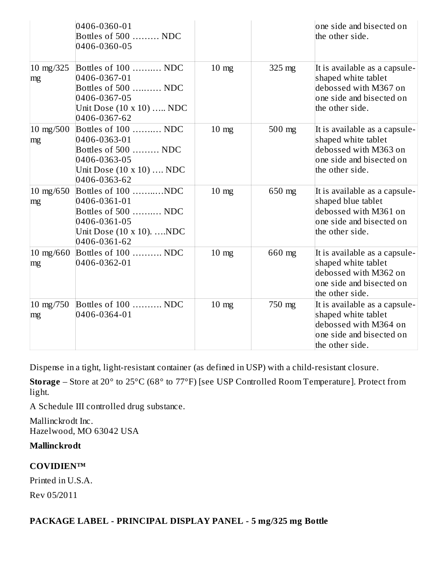|                 | 0406-0360-01<br>Bottles of 500  NDC<br>0406-0360-05                                                                    |                 |        | one side and bisected on<br>the other side.                                                                                  |
|-----------------|------------------------------------------------------------------------------------------------------------------------|-----------------|--------|------------------------------------------------------------------------------------------------------------------------------|
| 10 mg/325<br>mg | Bottles of 100  NDC<br>0406-0367-01<br>Bottles of 500  NDC<br>0406-0367-05<br>Unit Dose (10 x 10)  NDC<br>0406-0367-62 | $10 \text{ mg}$ | 325 mg | It is available as a capsule-<br>shaped white tablet<br>debossed with M367 on<br>one side and bisected on<br>the other side. |
| 10 mg/500<br>mg | Bottles of 100  NDC<br>0406-0363-01<br>Bottles of 500  NDC<br>0406-0363-05<br>Unit Dose (10 x 10)  NDC<br>0406-0363-62 | $10 \text{ mg}$ | 500 mg | It is available as a capsule-<br>shaped white tablet<br>debossed with M363 on<br>one side and bisected on<br>the other side. |
| 10 mg/650<br>mg | Bottles of 100 NDC<br>0406-0361-01<br>Bottles of 500  NDC<br>0406-0361-05<br>Unit Dose (10 x 10). NDC<br>0406-0361-62  | $10 \text{ mg}$ | 650 mg | It is available as a capsule-<br>shaped blue tablet<br>debossed with M361 on<br>one side and bisected on<br>the other side.  |
| mg              | 10 mg/660 Bottles of 100  NDC<br>0406-0362-01                                                                          | $10 \text{ mg}$ | 660 mg | It is available as a capsule-<br>shaped white tablet<br>debossed with M362 on<br>one side and bisected on<br>the other side. |
| 10 mg/750<br>mg | Bottles of 100  NDC<br>0406-0364-01                                                                                    | $10 \text{ mg}$ | 750 mg | It is available as a capsule-<br>shaped white tablet<br>debossed with M364 on<br>one side and bisected on<br>the other side. |

Dispense in a tight, light-resistant container (as defined in USP) with a child-resistant closure.

**Storage** – Store at 20° to 25°C (68° to 77°F) [see USP Controlled Room Temperature]. Protect from light.

A Schedule III controlled drug substance.

Mallinckrodt Inc. Hazelwood, MO 63042 USA

#### **Mallinckrodt**

#### **COVIDIEN™**

Printed in U.S.A.

Rev 05/2011

#### **PACKAGE LABEL - PRINCIPAL DISPLAY PANEL - 5 mg/325 mg Bottle**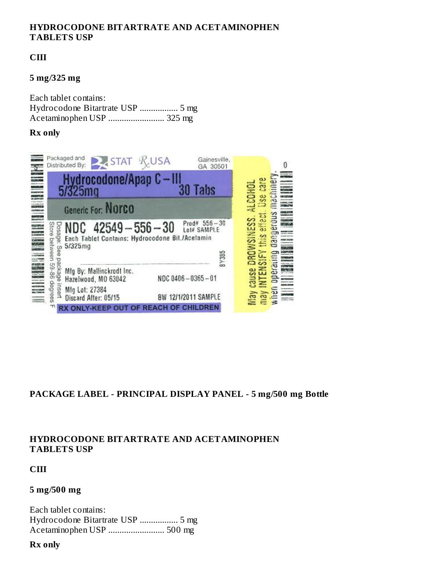#### **HYDROCODONE BITARTRATE AND ACETAMINOPHEN TABLETS USP**

#### **CIII**

#### **5 mg/325 mg**

Each tablet contains: Hydrocodone Bitartrate USP ................. 5 mg Acetaminophen USP ......................... 325 mg

#### **Rx only**



#### **PACKAGE LABEL - PRINCIPAL DISPLAY PANEL - 5 mg/500 mg Bottle**

#### **HYDROCODONE BITARTRATE AND ACETAMINOPHEN TABLETS USP**

**CIII**

#### **5 mg/500 mg**

Each tablet contains: Hydrocodone Bitartrate USP ................. 5 mg Acetaminophen USP ......................... 500 mg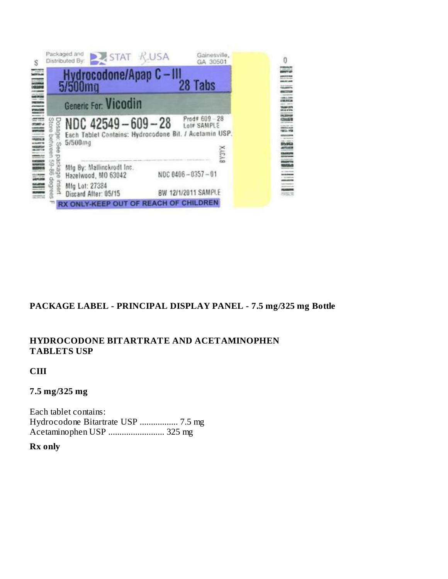

# **PACKAGE LABEL - PRINCIPAL DISPLAY PANEL - 7.5 mg/325 mg Bottle**

#### **HYDROCODONE BITARTRATE AND ACETAMINOPHEN TABLETS USP**

**CIII**

#### **7.5 mg/325 mg**

Each tablet contains: Hydrocodone Bitartrate USP ................. 7.5 mg Acetaminophen USP ......................... 325 mg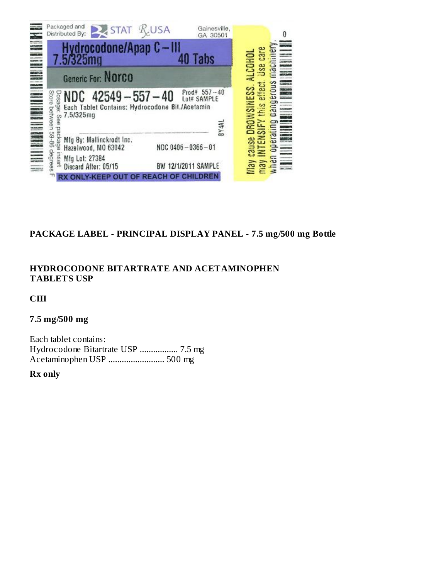

#### **PACKAGE LABEL - PRINCIPAL DISPLAY PANEL - 7.5 mg/500 mg Bottle**

#### **HYDROCODONE BITARTRATE AND ACETAMINOPHEN TABLETS USP**

#### **CIII**

#### **7.5 mg/500 mg**

Each tablet contains: Hydrocodone Bitartrate USP ................. 7.5 mg Acetaminophen USP ......................... 500 mg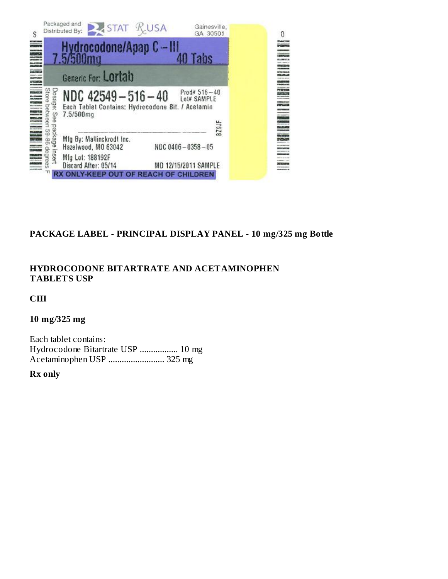

#### **PACKAGE LABEL - PRINCIPAL DISPLAY PANEL - 10 mg/325 mg Bottle**

#### **HYDROCODONE BITARTRATE AND ACETAMINOPHEN TABLETS USP**

**CIII**

**10 mg/325 mg**

Each tablet contains: Hydrocodone Bitartrate USP ................. 10 mg Acetaminophen USP ......................... 325 mg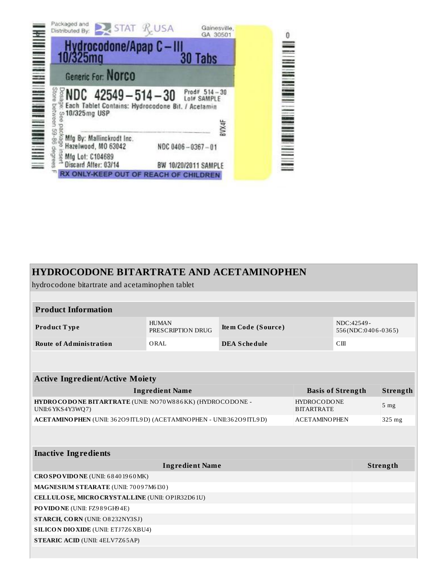

# **HYDROCODONE BITARTRATE AND ACETAMINOPHEN**

hydrocodone bitartrate and acetaminophen tablet

| <b>Product Information</b>                                                    |                                   |                                  |                                         |                          |                    |  |  |
|-------------------------------------------------------------------------------|-----------------------------------|----------------------------------|-----------------------------------------|--------------------------|--------------------|--|--|
| Product Type                                                                  | <b>HUMAN</b><br>PRESCRIPTION DRUG | NDC:42549-<br>Item Code (Source) |                                         |                          | 556(NDC:0406-0365) |  |  |
| <b>Route of Administration</b>                                                | ORAL                              | <b>DEA Schedule</b>              |                                         | C <sub>III</sub>         |                    |  |  |
|                                                                               |                                   |                                  |                                         |                          |                    |  |  |
| <b>Active Ingredient/Active Moiety</b>                                        |                                   |                                  |                                         |                          |                    |  |  |
|                                                                               | <b>Ingredient Name</b>            |                                  |                                         | <b>Basis of Strength</b> | Strength           |  |  |
| HYDROCODONE BITARTRATE (UNII: NO70W886KK) (HYDROCODONE -<br>UNII:6 YKS4Y3WQ7) |                                   |                                  | <b>HYDROCODONE</b><br><b>BITARTRATE</b> |                          | 5 <sub>mg</sub>    |  |  |
| ACETAMINO PHEN (UNII: 36209 ITL9D) (ACETAMINO PHEN - UNII:36209 ITL9D)        |                                   |                                  | <b>ACETAMINOPHEN</b>                    |                          | $325$ mg           |  |  |
|                                                                               |                                   |                                  |                                         |                          |                    |  |  |
| <b>Inactive Ingredients</b>                                                   |                                   |                                  |                                         |                          |                    |  |  |
|                                                                               | <b>Ingredient Name</b>            |                                  |                                         |                          | Strength           |  |  |
| CROSPOVIDONE (UNII: 68401960MK)                                               |                                   |                                  |                                         |                          |                    |  |  |
| MAGNESIUM STEARATE (UNII: 70097M6I30)                                         |                                   |                                  |                                         |                          |                    |  |  |
| CELLULOSE, MICRO CRYSTALLINE (UNII: OP1R32D61U)                               |                                   |                                  |                                         |                          |                    |  |  |
| PO VIDONE (UNII: FZ989GH94E)                                                  |                                   |                                  |                                         |                          |                    |  |  |
| STARCH, CORN (UNII: O8232NY3SJ)                                               |                                   |                                  |                                         |                          |                    |  |  |
| <b>SILICON DIO XIDE (UNII: ETJ7Z6 XBU4)</b>                                   |                                   |                                  |                                         |                          |                    |  |  |
| <b>STEARIC ACID (UNII: 4ELV7Z65AP)</b>                                        |                                   |                                  |                                         |                          |                    |  |  |
|                                                                               |                                   |                                  |                                         |                          |                    |  |  |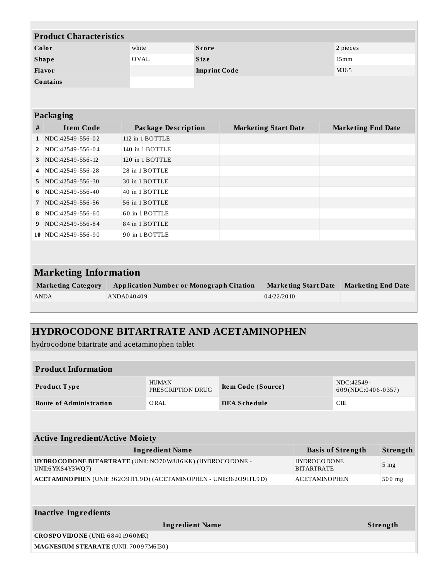|                  | <b>Product Characteristics</b> |                                                 |                     |                     |                             |                  |                                  |
|------------------|--------------------------------|-------------------------------------------------|---------------------|---------------------|-----------------------------|------------------|----------------------------------|
| Color            |                                | white                                           | <b>Score</b>        |                     |                             |                  | 2 pieces                         |
| <b>Shape</b>     |                                | OVAL                                            | <b>Size</b>         |                     |                             |                  | 15 <sub>mm</sub>                 |
| Flavor           |                                |                                                 | <b>Imprint Code</b> |                     |                             |                  | M365                             |
| <b>Contains</b>  |                                |                                                 |                     |                     |                             |                  |                                  |
|                  |                                |                                                 |                     |                     |                             |                  |                                  |
|                  |                                |                                                 |                     |                     |                             |                  |                                  |
| <b>Packaging</b> |                                |                                                 |                     |                     |                             |                  |                                  |
| #                | <b>Item Code</b>               | <b>Package Description</b>                      |                     |                     | <b>Marketing Start Date</b> |                  | <b>Marketing End Date</b>        |
| 1                | NDC:42549-556-02               | 112 in 1 BOTTLE                                 |                     |                     |                             |                  |                                  |
| $\mathbf{2}$     | NDC:42549-556-04               | 140 in 1 BOTTLE                                 |                     |                     |                             |                  |                                  |
| 3                | NDC:42549-556-12               | 120 in 1 BOTTLE                                 |                     |                     |                             |                  |                                  |
| 4                | NDC:42549-556-28               | 28 in 1 BOTTLE                                  |                     |                     |                             |                  |                                  |
| 5.               | NDC:42549-556-30               | 30 in 1 BOTTLE                                  |                     |                     |                             |                  |                                  |
| 6                | NDC:42549-556-40               | 40 in 1 BOTTLE                                  |                     |                     |                             |                  |                                  |
| 7                | NDC:42549-556-56               | 56 in 1 BOTTLE                                  |                     |                     |                             |                  |                                  |
| 8                | NDC:42549-556-60               | 60 in 1 BOTTLE                                  |                     |                     |                             |                  |                                  |
| 9                | NDC:42549-556-84               | 84 in 1 BOTTLE                                  |                     |                     |                             |                  |                                  |
|                  | 10 NDC:42549-556-90            | 90 in 1 BOTTLE                                  |                     |                     |                             |                  |                                  |
|                  |                                |                                                 |                     |                     |                             |                  |                                  |
|                  |                                |                                                 |                     |                     |                             |                  |                                  |
|                  | <b>Marketing Information</b>   |                                                 |                     |                     |                             |                  |                                  |
|                  | <b>Marketing Category</b>      | <b>Application Number or Monograph Citation</b> |                     |                     | <b>Marketing Start Date</b> |                  | <b>Marketing End Date</b>        |
| <b>ANDA</b>      |                                | ANDA040409                                      |                     |                     | 04/22/2010                  |                  |                                  |
|                  |                                |                                                 |                     |                     |                             |                  |                                  |
|                  |                                |                                                 |                     |                     |                             |                  |                                  |
|                  |                                | <b>HYDROCODONE BITARTRATE AND ACETAMINOPHEN</b> |                     |                     |                             |                  |                                  |
|                  |                                |                                                 |                     |                     |                             |                  |                                  |
|                  |                                | hydrocodone bitartrate and acetaminophen tablet |                     |                     |                             |                  |                                  |
|                  |                                |                                                 |                     |                     |                             |                  |                                  |
|                  | <b>Product Information</b>     |                                                 |                     |                     |                             |                  |                                  |
| Product Type     |                                | <b>HUMAN</b><br>PRESCRIPTION DRUG               |                     | Item Code (Source)  |                             |                  | NDC:42549-<br>609(NDC:0406-0357) |
|                  | <b>Route of Administration</b> | ORAL                                            |                     | <b>DEA Schedule</b> |                             | C <sub>III</sub> |                                  |

| <b>Active Ingredient/Active Moiety</b>                                         |                                         |                 |
|--------------------------------------------------------------------------------|-----------------------------------------|-----------------|
| <b>Ingredient Name</b>                                                         | <b>Basis of Strength</b>                | <b>Strength</b> |
| HYDRO CODONE BITARTRATE (UNII: NO70W886KK) (HYDROCODONE -<br>UNII:6 YKS4Y3WQ7) | <b>HYDROCODONE</b><br><b>BITARTRATE</b> | 5 <sub>mg</sub> |
| ACETAMINO PHEN (UNII: 36209 ITL9D) (ACETAMINO PHEN - UNII:36209 ITL9D)         | <b>ACETAMINOPHEN</b>                    | $500$ mg        |
|                                                                                |                                         |                 |
| <b>Inactive Ingredients</b>                                                    |                                         |                 |
| <b>Ingredient Name</b>                                                         |                                         | Strength        |
| $CRO$ SPO VIDO NE (UNII: 6840 1960 MK)                                         |                                         |                 |
| MAGNESIUM STEARATE (UNII: 70097M6I30)                                          |                                         |                 |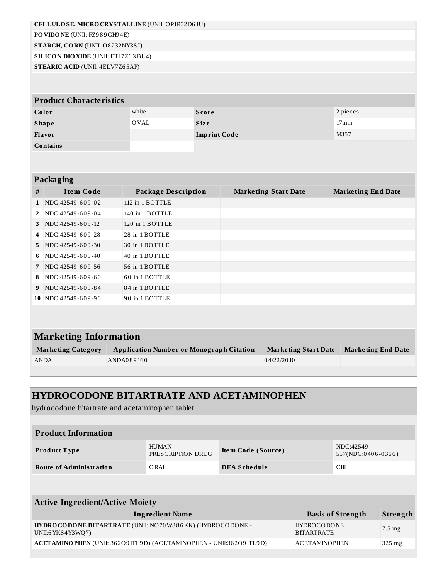|                 | CELLULOSE, MICRO CRYSTALLINE (UNII: OP1R32D61U) |                            |                     |                             |                |                           |  |  |
|-----------------|-------------------------------------------------|----------------------------|---------------------|-----------------------------|----------------|---------------------------|--|--|
|                 | PO VIDO NE (UNII: FZ989GH94E)                   |                            |                     |                             |                |                           |  |  |
|                 | STARCH, CORN (UNII: O8232NY3SJ)                 |                            |                     |                             |                |                           |  |  |
|                 | <b>SILICON DIO XIDE (UNII: ETJ7Z6 XBU4)</b>     |                            |                     |                             |                |                           |  |  |
|                 | <b>STEARIC ACID (UNII: 4ELV7Z65AP)</b>          |                            |                     |                             |                |                           |  |  |
|                 |                                                 |                            |                     |                             |                |                           |  |  |
|                 |                                                 |                            |                     |                             |                |                           |  |  |
|                 | <b>Product Characteristics</b>                  |                            |                     |                             |                |                           |  |  |
|                 | Color                                           | white                      | <b>Score</b>        |                             | 2 pieces       |                           |  |  |
|                 | <b>Shape</b>                                    | <b>OVAL</b>                | <b>Size</b>         |                             | $17 \text{mm}$ |                           |  |  |
|                 | Flavor                                          |                            | <b>Imprint Code</b> |                             | M357           |                           |  |  |
| <b>Contains</b> |                                                 |                            |                     |                             |                |                           |  |  |
|                 |                                                 |                            |                     |                             |                |                           |  |  |
|                 |                                                 |                            |                     |                             |                |                           |  |  |
|                 |                                                 |                            |                     |                             |                |                           |  |  |
|                 | <b>Packaging</b>                                |                            |                     |                             |                |                           |  |  |
| #               | <b>Item Code</b>                                | <b>Package Description</b> |                     | <b>Marketing Start Date</b> |                | <b>Marketing End Date</b> |  |  |
| $\mathbf{1}$    | NDC:42549-609-02                                | 112 in 1 BOTTLE            |                     |                             |                |                           |  |  |
| $\overline{2}$  | NDC:42549-609-04                                | 140 in 1 BOTTLE            |                     |                             |                |                           |  |  |
| 3               | NDC:42549-609-12                                | 120 in 1 BOTTLE            |                     |                             |                |                           |  |  |
| 4               | NDC:42549-609-28                                | 28 in 1 BOTTLE             |                     |                             |                |                           |  |  |
| 5.              | NDC:42549-609-30                                | 30 in 1 BOTTLE             |                     |                             |                |                           |  |  |
| 6               | NDC:42549-609-40                                | 40 in 1 BOTTLE             |                     |                             |                |                           |  |  |
| 7               | NDC:42549-609-56                                | 56 in 1 BOTTLE             |                     |                             |                |                           |  |  |
| 8               | NDC:42549-609-60                                | 60 in 1 BOTTLE             |                     |                             |                |                           |  |  |
| 9               | NDC:42549-609-84                                | 84 in 1 BOTTLE             |                     |                             |                |                           |  |  |

| <b>Marketing Information</b> |                                                 |                             |                           |
|------------------------------|-------------------------------------------------|-----------------------------|---------------------------|
| <b>Marketing Category</b>    | <b>Application Number or Monograph Citation</b> | <b>Marketing Start Date</b> | <b>Marketing End Date</b> |
| <b>ANDA</b>                  | ANDA089160                                      | 04/22/2010                  |                           |

# **HYDROCODONE BITARTRATE AND ACETAMINOPHEN**

hydrocodone bitartrate and acetaminophen tablet

| <b>Product Information</b>     |                                   |                     |                                  |
|--------------------------------|-----------------------------------|---------------------|----------------------------------|
| Product Type                   | <b>HUMAN</b><br>PRESCRIPTION DRUG | Item Code (Source)  | NDC:42549-<br>557(NDC:0406-0366) |
| <b>Route of Administration</b> | ORAL                              | <b>DEA Schedule</b> | CШ                               |

| <b>Active Ingredient/Active Moiety</b>                                         |                                  |                  |  |  |  |
|--------------------------------------------------------------------------------|----------------------------------|------------------|--|--|--|
| <b>Ingredient Name</b>                                                         | <b>Basis of Strength</b>         | Strength         |  |  |  |
| HYDRO CODONE BITARTRATE (UNII: NO70W886KK) (HYDROCODONE -<br>UNII:6 YKS4Y3WQ7) | HYDROCODONE<br><b>BITARTRATE</b> | $7.5 \text{ mg}$ |  |  |  |
| ACETAMINO PHEN (UNII: 36209 ITL9D) (ACETAMINO PHEN - UNII:36209 ITL9D)         | <b>ACETAMINOPHEN</b>             | $325 \text{ mg}$ |  |  |  |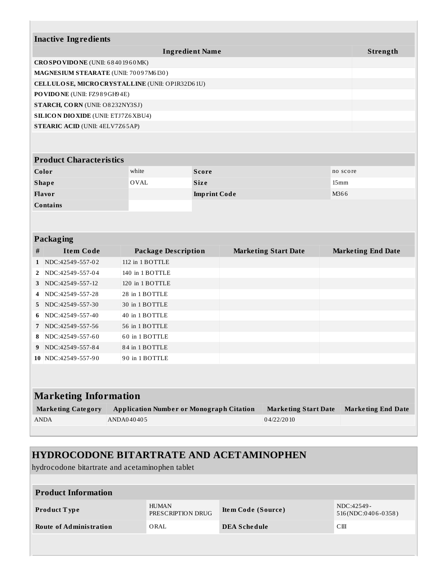| <b>Inactive Ingredients</b>                     |          |
|-------------------------------------------------|----------|
| <b>Ingredient Name</b>                          | Strength |
| $CRO$ SPO VIDO NE (UNII: 6840 1960 MK)          |          |
| MAGNESIUM STEARATE (UNII: 70097M6I30)           |          |
| CELLULOSE, MICRO CRYSTALLINE (UNII: OP1R32D61U) |          |
| PO VIDO NE (UNII: FZ989GH94E)                   |          |
| STARCH, CORN (UNII: O8232NY3SJ)                 |          |
| <b>SILICON DIO XIDE (UNII: ETJ7Z6XBU4)</b>      |          |
| <b>STEARIC ACID (UNII: 4ELV7Z65AP)</b>          |          |
|                                                 |          |
|                                                 |          |

| <b>Product Characteristics</b> |       |                     |                  |  |  |
|--------------------------------|-------|---------------------|------------------|--|--|
| Color                          | white | Score               | no score         |  |  |
| <b>Shape</b>                   | OVAL  | <b>Size</b>         | 15 <sub>mm</sub> |  |  |
| <b>Flavor</b>                  |       | <b>Imprint Code</b> | M366             |  |  |
| <b>Contains</b>                |       |                     |                  |  |  |

#### **Packaging**

p.

|             | $\cdot$ $\cdot$     |                            |                             |                           |
|-------------|---------------------|----------------------------|-----------------------------|---------------------------|
| #           | <b>Item Code</b>    | <b>Package Description</b> | <b>Marketing Start Date</b> | <b>Marketing End Date</b> |
| 1           | NDC:42549-557-02    | 112 in 1 BOTTLE            |                             |                           |
| $2^{\circ}$ | NDC:42549-557-04    | 140 in 1 BOTTLE            |                             |                           |
| 3           | NDC:42549-557-12    | 120 in 1 BOTTLE            |                             |                           |
| 4           | NDC:42549-557-28    | 28 in 1 BOTTLE             |                             |                           |
| 5.          | NDC:42549-557-30    | 30 in 1 BOTTLE             |                             |                           |
| 6           | NDC:42549-557-40    | 40 in 1 BOTTLE             |                             |                           |
| 7           | NDC:42549-557-56    | 56 in 1 BOTTLE             |                             |                           |
| 8           | NDC:42549-557-60    | 60 in 1 BOTTLE             |                             |                           |
| 9           | NDC:42549-557-84    | 84 in 1 BOTTLE             |                             |                           |
|             | 10 NDC:42549-557-90 | 90 in 1 BOTTLE             |                             |                           |

| <b>Marketing Information</b>                    |                             |                           |  |  |  |
|-------------------------------------------------|-----------------------------|---------------------------|--|--|--|
| <b>Application Number or Monograph Citation</b> | <b>Marketing Start Date</b> | <b>Marketing End Date</b> |  |  |  |
| ANDA040405                                      | 04/22/2010                  |                           |  |  |  |
|                                                 |                             |                           |  |  |  |

#### **HYDROCODONE BITARTRATE AND ACETAMINOPHEN**

hydrocodone bitartrate and acetaminophen tablet

| <b>Product Information</b> |                                   |                     |                                  |  |  |  |
|----------------------------|-----------------------------------|---------------------|----------------------------------|--|--|--|
| Product Type               | <b>HUMAN</b><br>PRESCRIPTION DRUG | Item Code (Source)  | NDC:42549-<br>516(NDC:0406-0358) |  |  |  |
| Route of Administration    | ORAL                              | <b>DEA Schedule</b> | CШ                               |  |  |  |
|                            |                                   |                     |                                  |  |  |  |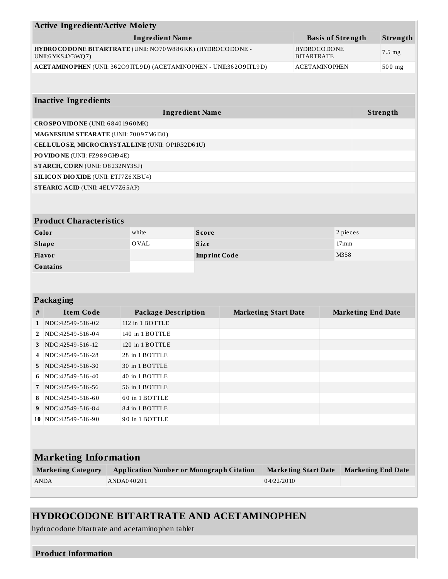| <b>Active Ingredient/Active Moiety</b>                                        |                          |                     |  |                |  |  |
|-------------------------------------------------------------------------------|--------------------------|---------------------|--|----------------|--|--|
|                                                                               | <b>Basis of Strength</b> | Strength            |  |                |  |  |
| HYDROCODONE BITARTRATE (UNII: NO70W886KK) (HYDROCODONE -<br>UNII:6 YKS4Y3WQ7) | <b>HYDROCODONE</b>       | $7.5$ mg            |  |                |  |  |
| ACETAMINO PHEN (UNII: 36209ITL9D) (ACETAMINO PHEN - UNII:36209ITL9D)          | <b>ACETAMINOPHEN</b>     | 500 mg              |  |                |  |  |
|                                                                               |                          |                     |  |                |  |  |
| <b>Inactive Ingredients</b>                                                   |                          |                     |  |                |  |  |
|                                                                               |                          | Strength            |  |                |  |  |
| CROSPOVIDONE (UNII: 68401960MK)                                               |                          |                     |  |                |  |  |
| MAGNESIUM STEARATE (UNII: 70097M6I30)                                         |                          |                     |  |                |  |  |
| CELLULOSE, MICRO CRYSTALLINE (UNII: OP1R32D61U)                               |                          |                     |  |                |  |  |
| PO VIDONE (UNII: FZ989GH94E)                                                  |                          |                     |  |                |  |  |
| STARCH, CORN (UNII: O8232NY3SJ)                                               |                          |                     |  |                |  |  |
| <b>SILICON DIO XIDE (UNII: ETJ7Z6 XBU4)</b>                                   |                          |                     |  |                |  |  |
| <b>STEARIC ACID (UNII: 4ELV7Z65AP)</b>                                        |                          |                     |  |                |  |  |
|                                                                               |                          |                     |  |                |  |  |
| <b>Product Characteristics</b>                                                |                          |                     |  |                |  |  |
| Color                                                                         | white                    | <b>Score</b>        |  | 2 pieces       |  |  |
| <b>Shape</b>                                                                  | OVAL                     | <b>Size</b>         |  | $17 \text{mm}$ |  |  |
| Flavor                                                                        |                          | <b>Imprint Code</b> |  | M358           |  |  |

| <b>Packaging</b> |
|------------------|
|------------------|

**Contains**

| #            | <b>Item Code</b>      | <b>Package Description</b> | <b>Marketing Start Date</b> | <b>Marketing End Date</b> |
|--------------|-----------------------|----------------------------|-----------------------------|---------------------------|
|              | NDC:42549-516-02      | 112 in 1 BOTTLE            |                             |                           |
| $\mathbf{2}$ | NDC:42549-516-04      | 140 in 1 BOTTLE            |                             |                           |
| 3            | NDC:42549-516-12      | 120 in 1 BOTTLE            |                             |                           |
| 4            | NDC:42549-516-28      | 28 in 1 BOTTLE             |                             |                           |
| 5.           | NDC:42549-516-30      | 30 in 1 BOTTLE             |                             |                           |
| 6            | NDC:42549-516-40      | 40 in 1 BOTTLE             |                             |                           |
|              | NDC:42549-516-56      | 56 in 1 BOTTLE             |                             |                           |
| 8            | NDC:42549-516-60      | 60 in 1 BOTTLE             |                             |                           |
| 9            | NDC:42549-516-84      | 84 in 1 BOTTLE             |                             |                           |
|              | $10$ NDC:42549-516-90 | 90 in 1 BOTTLE             |                             |                           |

| <b>Marketing Information</b> |                                                 |                             |                           |  |  |  |
|------------------------------|-------------------------------------------------|-----------------------------|---------------------------|--|--|--|
| <b>Marketing Category</b>    | <b>Application Number or Monograph Citation</b> | <b>Marketing Start Date</b> | <b>Marketing End Date</b> |  |  |  |
| <b>ANDA</b>                  | ANDA040201                                      | 04/22/2010                  |                           |  |  |  |
|                              |                                                 |                             |                           |  |  |  |

# **HYDROCODONE BITARTRATE AND ACETAMINOPHEN**

hydrocodone bitartrate and acetaminophen tablet

### **Product Information**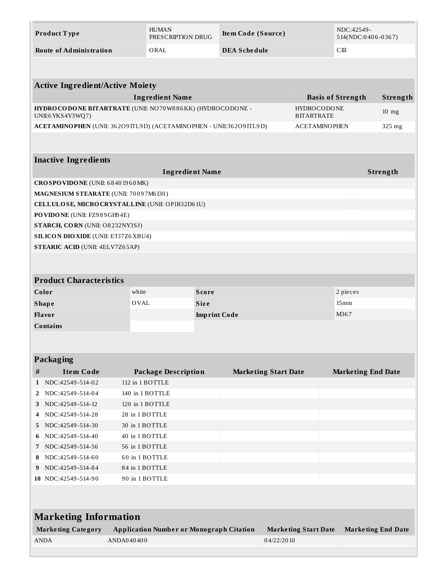| Product Type                                                           |                                   | <b>HUMAN</b><br>PRESCRIPTION DRUG               |                     | Item Code (Source)                      |                             |                             | NDC:42549-<br>514(NDC:0406-0367) |                           |                           |
|------------------------------------------------------------------------|-----------------------------------|-------------------------------------------------|---------------------|-----------------------------------------|-----------------------------|-----------------------------|----------------------------------|---------------------------|---------------------------|
| <b>Route of Administration</b>                                         |                                   | ORAL                                            |                     | C <sub>III</sub><br><b>DEA Schedule</b> |                             |                             |                                  |                           |                           |
|                                                                        |                                   |                                                 |                     |                                         |                             |                             |                                  |                           |                           |
|                                                                        |                                   |                                                 |                     |                                         |                             |                             |                                  |                           |                           |
| <b>Active Ingredient/Active Moiety</b>                                 |                                   |                                                 |                     |                                         |                             |                             |                                  |                           |                           |
|                                                                        |                                   | <b>Ingredient Name</b>                          |                     |                                         |                             | <b>Basis of Strength</b>    |                                  |                           | Strength                  |
| HYDROCODONE BITARTRATE (UNII: NO70W886KK) (HYDROCODONE -               |                                   |                                                 |                     |                                         |                             | <b>HYDROCODONE</b>          |                                  |                           |                           |
| UNII:6 YKS4Y3WQ7)                                                      |                                   |                                                 |                     |                                         |                             | <b>BITARTRATE</b>           |                                  |                           | $10$ mg                   |
| ACETAMINO PHEN (UNII: 36209 ITL9D) (ACETAMINO PHEN - UNII:36209 ITL9D) |                                   |                                                 |                     |                                         |                             | <b>ACETAMINOPHEN</b>        |                                  |                           | 325 mg                    |
|                                                                        |                                   |                                                 |                     |                                         |                             |                             |                                  |                           |                           |
|                                                                        |                                   |                                                 |                     |                                         |                             |                             |                                  |                           |                           |
| <b>Inactive Ingredients</b>                                            |                                   |                                                 |                     |                                         |                             |                             |                                  |                           |                           |
|                                                                        |                                   | <b>Ingredient Name</b>                          |                     |                                         |                             |                             |                                  |                           | Strength                  |
| CROSPOVIDONE (UNII: 68401960MK)                                        |                                   |                                                 |                     |                                         |                             |                             |                                  |                           |                           |
| MAGNESIUM STEARATE (UNII: 70097M6I30)                                  |                                   |                                                 |                     |                                         |                             |                             |                                  |                           |                           |
| CELLULOSE, MICRO CRYSTALLINE (UNII: OP1R32D61U)                        |                                   |                                                 |                     |                                         |                             |                             |                                  |                           |                           |
| PO VIDO NE (UNII: FZ989GH94E)                                          |                                   |                                                 |                     |                                         |                             |                             |                                  |                           |                           |
| STARCH, CORN (UNII: O8232NY3SJ)                                        |                                   |                                                 |                     |                                         |                             |                             |                                  |                           |                           |
| <b>SILICON DIO XIDE (UNII: ETJ7Z6 XBU4)</b>                            |                                   |                                                 |                     |                                         |                             |                             |                                  |                           |                           |
| <b>STEARIC ACID (UNII: 4ELV7Z65AP)</b>                                 |                                   |                                                 |                     |                                         |                             |                             |                                  |                           |                           |
|                                                                        |                                   |                                                 |                     |                                         |                             |                             |                                  |                           |                           |
|                                                                        |                                   |                                                 |                     |                                         |                             |                             |                                  |                           |                           |
| <b>Product Characteristics</b>                                         |                                   |                                                 |                     |                                         |                             |                             |                                  |                           |                           |
| Color                                                                  | white<br>2 pieces<br><b>Score</b> |                                                 |                     |                                         |                             |                             |                                  |                           |                           |
| <b>Shape</b>                                                           | <b>OVAL</b>                       |                                                 | <b>Size</b>         |                                         |                             |                             | 15 <sub>mm</sub>                 |                           |                           |
| <b>Flavor</b>                                                          |                                   |                                                 | <b>Imprint Code</b> |                                         |                             |                             | M367                             |                           |                           |
| <b>Contains</b>                                                        |                                   |                                                 |                     |                                         |                             |                             |                                  |                           |                           |
|                                                                        |                                   |                                                 |                     |                                         |                             |                             |                                  |                           |                           |
|                                                                        |                                   |                                                 |                     |                                         |                             |                             |                                  |                           |                           |
| Packaging                                                              |                                   |                                                 |                     |                                         |                             |                             |                                  |                           |                           |
| <b>Item Code</b><br>#                                                  |                                   | <b>Package Description</b>                      |                     |                                         | <b>Marketing Start Date</b> |                             |                                  | <b>Marketing End Date</b> |                           |
| NDC:42549-514-02<br>1                                                  |                                   | 112 in 1 BOTTLE                                 |                     |                                         |                             |                             |                                  |                           |                           |
| NDC:42549-514-04<br>2                                                  |                                   | 140 in 1 BOTTLE                                 |                     |                                         |                             |                             |                                  |                           |                           |
| NDC:42549-514-12<br>3                                                  |                                   | 120 in 1 BOTTLE                                 |                     |                                         |                             |                             |                                  |                           |                           |
| NDC:42549-514-28<br>4                                                  |                                   | 28 in 1 BOTTLE                                  |                     |                                         |                             |                             |                                  |                           |                           |
| NDC:42549-514-30<br>5                                                  |                                   | 30 in 1 BOTTLE                                  |                     |                                         |                             |                             |                                  |                           |                           |
| NDC:42549-514-40<br>6                                                  |                                   | 40 in 1 BOTTLE                                  |                     |                                         |                             |                             |                                  |                           |                           |
| NDC:42549-514-56<br>7                                                  |                                   | 56 in 1 BOTTLE                                  |                     |                                         |                             |                             |                                  |                           |                           |
| NDC:42549-514-60<br>8                                                  |                                   | 60 in 1 BOTTLE                                  |                     |                                         |                             |                             |                                  |                           |                           |
| NDC:42549-514-84<br>9                                                  |                                   | 84 in 1 BOTTLE                                  |                     |                                         |                             |                             |                                  |                           |                           |
| 10 NDC:42549-514-90                                                    |                                   | 90 in 1 BOTTLE                                  |                     |                                         |                             |                             |                                  |                           |                           |
|                                                                        |                                   |                                                 |                     |                                         |                             |                             |                                  |                           |                           |
|                                                                        |                                   |                                                 |                     |                                         |                             |                             |                                  |                           |                           |
|                                                                        |                                   |                                                 |                     |                                         |                             |                             |                                  |                           |                           |
| <b>Marketing Information</b>                                           |                                   |                                                 |                     |                                         |                             |                             |                                  |                           |                           |
| <b>Marketing Category</b>                                              |                                   | <b>Application Number or Monograph Citation</b> |                     |                                         |                             | <b>Marketing Start Date</b> |                                  |                           | <b>Marketing End Date</b> |
| <b>ANDA</b>                                                            | ANDA040400                        |                                                 |                     |                                         | 04/22/2010                  |                             |                                  |                           |                           |
|                                                                        |                                   |                                                 |                     |                                         |                             |                             |                                  |                           |                           |